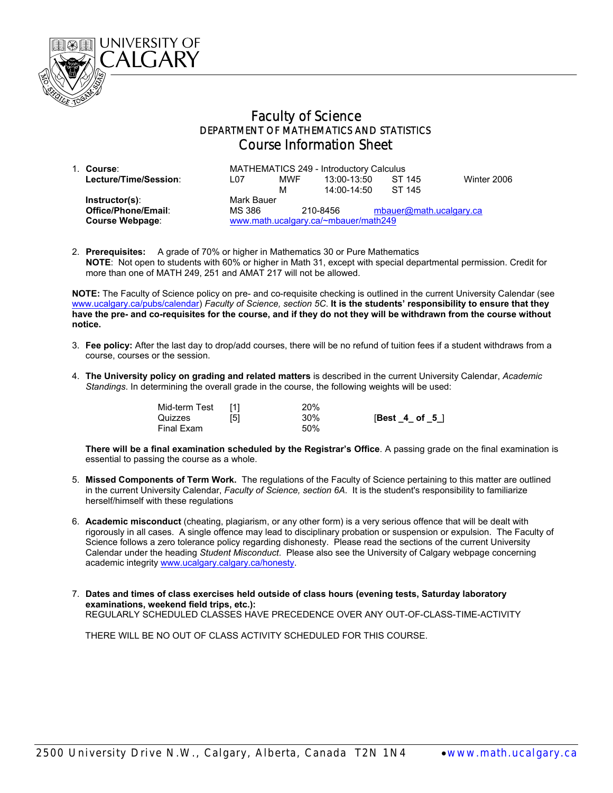

## Faculty of Science DEPARTMENT OF MATHEMATICS AND STATISTICS Course Information Sheet

| 1. Course:             | MATHEMATICS 249 - Introductory Calculus |            |                 |  |                         |             |
|------------------------|-----------------------------------------|------------|-----------------|--|-------------------------|-------------|
| Lecture/Time/Session:  | L07                                     | <b>MWF</b> | 13:00-13:50     |  | ST 145                  | Winter 2006 |
|                        |                                         | м          | $14:00 - 14:50$ |  | ST 145                  |             |
| $Instructor(s)$ :      | Mark Bauer                              |            |                 |  |                         |             |
| Office/Phone/Email:    | MS 386                                  | 210-8456   |                 |  | mbauer@math.ucalgary.ca |             |
| <b>Course Webpage:</b> | www.math.ucalgary.ca/~mbauer/math249    |            |                 |  |                         |             |

2. **Prerequisites:** A grade of 70% or higher in Mathematics 30 or Pure Mathematics  **NOTE**: Not open to students with 60% or higher in Math 31, except with special departmental permission. Credit for more than one of MATH 249, 251 and AMAT 217 will not be allowed.

**NOTE:** The Faculty of Science policy on pre- and co-requisite checking is outlined in the current University Calendar (see www.ucalgary.ca/pubs/calendar) *Faculty of Science, section 5C*. **It is the students' responsibility to ensure that they have the pre- and co-requisites for the course, and if they do not they will be withdrawn from the course without notice.** 

- 3. **Fee policy:** After the last day to drop/add courses, there will be no refund of tuition fees if a student withdraws from a course, courses or the session.
- 4. **The University policy on grading and related matters** is described in the current University Calendar, *Academic Standings*. In determining the overall grade in the course, the following weights will be used:

| Mid-term Test |     | 20% |                  |
|---------------|-----|-----|------------------|
| Quizzes       | [5] | 30% | $[Best_4_ of_5]$ |
| Final Exam    |     | 50% |                  |

**There will be a final examination scheduled by the Registrar's Office**. A passing grade on the final examination is essential to passing the course as a whole.

- 5. **Missed Components of Term Work.** The regulations of the Faculty of Science pertaining to this matter are outlined in the current University Calendar, *Faculty of Science, section 6A*. It is the student's responsibility to familiarize herself/himself with these regulations
- 6. **Academic misconduct** (cheating, plagiarism, or any other form) is a very serious offence that will be dealt with rigorously in all cases. A single offence may lead to disciplinary probation or suspension or expulsion. The Faculty of Science follows a zero tolerance policy regarding dishonesty. Please read the sections of the current University Calendar under the heading *Student Misconduct*. Please also see the University of Calgary webpage concerning academic integrity www.ucalgary.calgary.ca/honesty.
- 7. **Dates and times of class exercises held outside of class hours (evening tests, Saturday laboratory examinations, weekend field trips, etc.):** REGULARLY SCHEDULED CLASSES HAVE PRECEDENCE OVER ANY OUT-OF-CLASS-TIME-ACTIVITY

THERE WILL BE NO OUT OF CLASS ACTIVITY SCHEDULED FOR THIS COURSE.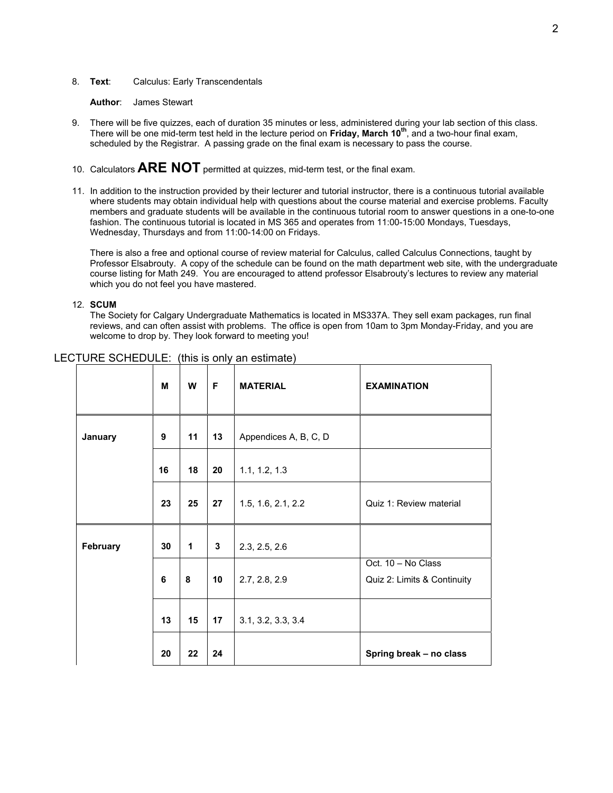## 8. **Text**: Calculus: Early Transcendentals

**Author**: James Stewart

- 9. There will be five quizzes, each of duration 35 minutes or less, administered during your lab section of this class. There will be one mid-term test held in the lecture period on **Friday, March 10th**, and a two-hour final exam, scheduled by the Registrar. A passing grade on the final exam is necessary to pass the course.
- 10. Calculators **ARE NOT** permitted at quizzes, mid-term test, or the final exam.
- 11. In addition to the instruction provided by their lecturer and tutorial instructor, there is a continuous tutorial available where students may obtain individual help with questions about the course material and exercise problems. Faculty members and graduate students will be available in the continuous tutorial room to answer questions in a one-to-one fashion. The continuous tutorial is located in MS 365 and operates from 11:00-15:00 Mondays, Tuesdays, Wednesday, Thursdays and from 11:00-14:00 on Fridays.

There is also a free and optional course of review material for Calculus, called Calculus Connections, taught by Professor Elsabrouty. A copy of the schedule can be found on the math department web site, with the undergraduate course listing for Math 249. You are encouraged to attend professor Elsabrouty's lectures to review any material which you do not feel you have mastered.

## 12. **SCUM**

The Society for Calgary Undergraduate Mathematics is located in MS337A. They sell exam packages, run final reviews, and can often assist with problems. The office is open from 10am to 3pm Monday-Friday, and you are welcome to drop by. They look forward to meeting you!

|          | M  | W  | F  | <b>MATERIAL</b>       | <b>EXAMINATION</b>                                |
|----------|----|----|----|-----------------------|---------------------------------------------------|
| January  | 9  | 11 | 13 | Appendices A, B, C, D |                                                   |
|          | 16 | 18 | 20 | 1.1, 1.2, 1.3         |                                                   |
|          | 23 | 25 | 27 | 1.5, 1.6, 2.1, 2.2    | Quiz 1: Review material                           |
| February | 30 | 1  | 3  | 2.3, 2.5, 2.6         |                                                   |
|          | 6  | 8  | 10 | 2.7, 2.8, 2.9         | Oct. 10 - No Class<br>Quiz 2: Limits & Continuity |
|          | 13 | 15 | 17 | 3.1, 3.2, 3.3, 3.4    |                                                   |
|          | 20 | 22 | 24 |                       | Spring break - no class                           |

## LECTURE SCHEDULE: (this is only an estimate)